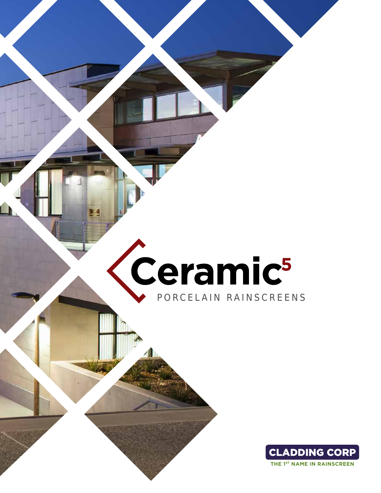# Ceramic<sup>5</sup> PORCELAIN RAINSCREENS

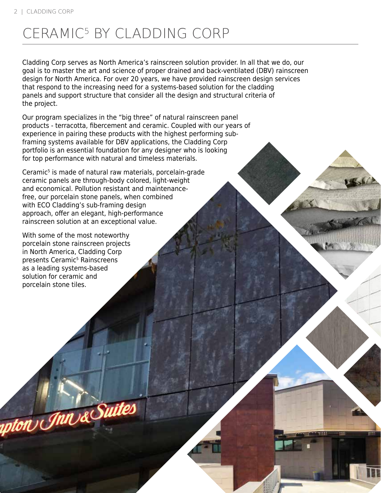# CERAMIC5 BY CLADDING CORP

Cladding Corp serves as North America's rainscreen solution provider. In all that we do, our goal is to master the art and science of proper drained and back-ventilated (DBV) rainscreen design for North America. For over 20 years, we have provided rainscreen design services that respond to the increasing need for a systems-based solution for the cladding panels and support structure that consider all the design and structural criteria of the project.

Our program specializes in the "big three" of natural rainscreen panel products - terracotta, fibercement and ceramic. Coupled with our years of experience in pairing these products with the highest performing subframing systems available for DBV applications, the Cladding Corp portfolio is an essential foundation for any designer who is looking for top performance with natural and timeless materials.

Ceramic<sup>5</sup> is made of natural raw materials, porcelain-grade ceramic panels are through-body colored, light-weight and economical. Pollution resistant and maintenancefree, our porcelain stone panels, when combined with ECO Cladding's sub-framing design approach, offer an elegant, high-performance rainscreen solution at an exceptional value.

With some of the most noteworthy porcelain stone rainscreen projects in North America, Cladding Corp presents Ceramic<sup>5</sup> Rainscreens as a leading systems-based solution for ceramic and porcelain stone tiles.

apton Jnn & Suites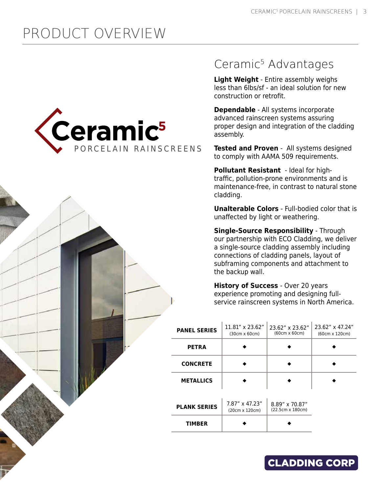# PRODUCT OVERVIEW



#### Ceramic<sup>5</sup> Advantages

**Light Weight** - Entire assembly weighs less than 6lbs/sf - an ideal solution for new construction or retrofit.

**Dependable** - All systems incorporate advanced rainscreen systems assuring proper design and integration of the cladding assembly.

**Tested and Proven** - All systems designed to comply with AAMA 509 requirements.

**Pollutant Resistant** - Ideal for hightraffic, pollution-prone environments and is maintenance-free, in contrast to natural stone cladding.

**Unalterable Colors** - Full-bodied color that is unaffected by light or weathering.

**Single-Source Responsibility** - Through our partnership with ECO Cladding, we deliver a single-source cladding assembly including connections of cladding panels, layout of subframing components and attachment to the backup wall.

**History of Success** - Over 20 years experience promoting and designing fullservice rainscreen systems in North America.

| <b>PANEL SERIES</b> | $11.81'' \times 23.62''$<br>$(30cm \times 60cm)$ | 23.62" x 23.62"<br>(60cm x 60cm)   | 23.62" x 47.24"<br>(60cm x 120cm) |
|---------------------|--------------------------------------------------|------------------------------------|-----------------------------------|
| <b>PETRA</b>        |                                                  |                                    |                                   |
| <b>CONCRETE</b>     |                                                  |                                    |                                   |
| <b>METALLICS</b>    |                                                  |                                    |                                   |
|                     |                                                  |                                    |                                   |
| <b>PLANK SERIES</b> | 7.87" x 47.23"<br>(20cm x 120cm)                 | 8.89" x 70.87"<br>(22.5cm x 180cm) |                                   |
| <b>TIMBER</b>       |                                                  |                                    |                                   |

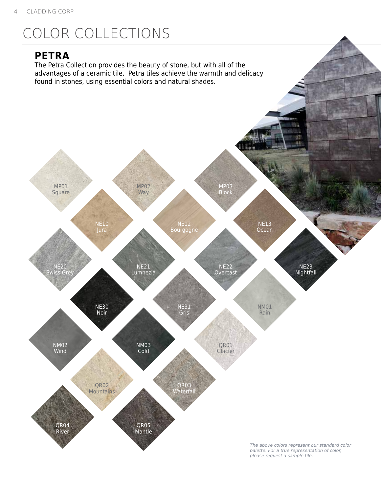# COLOR COLLECTIONS

#### **PETRA**

The Petra Collection provides the beauty of stone, but with all of the advantages of a ceramic tile. Petra tiles achieve the warmth and delicacy found in stones, using essential colors and natural shades.

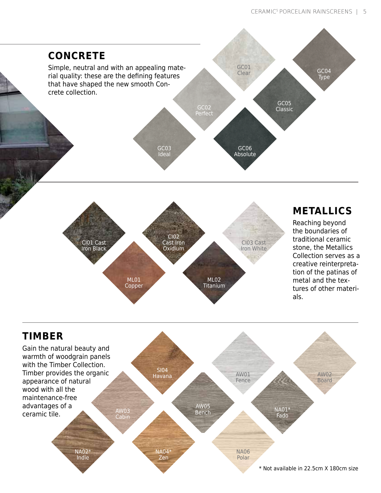

ML01 Copper

stone, the Metallics Collection serves as a creative reinterpretation of the patinas of metal and the textures of other materials.



ML02 **Titanium**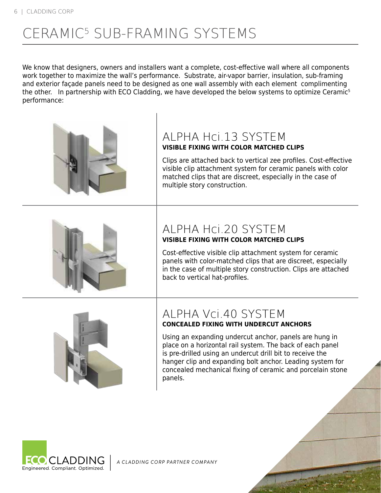# CERAMIC5 SUB-FRAMING SYSTEMS

We know that designers, owners and installers want a complete, cost-effective wall where all components work together to maximize the wall's performance. Substrate, air-vapor barrier, insulation, sub-framing and exterior façade panels need to be designed as one wall assembly with each element complimenting the other. In partnership with ECO Cladding, we have developed the below systems to optimize Ceramic<sup>5</sup> performance:





#### ALPHA Vci.40 SYSTEM **CONCEALED FIXING WITH UNDERCUT ANCHORS**

Using an expanding undercut anchor, panels are hung in place on a horizontal rail system. The back of each panel is pre-drilled using an undercut drill bit to receive the hanger clip and expanding bolt anchor. Leading system for concealed mechanical fixing of ceramic and porcelain stone panels.



*A CLADDING CORP PARTNER COMPANY*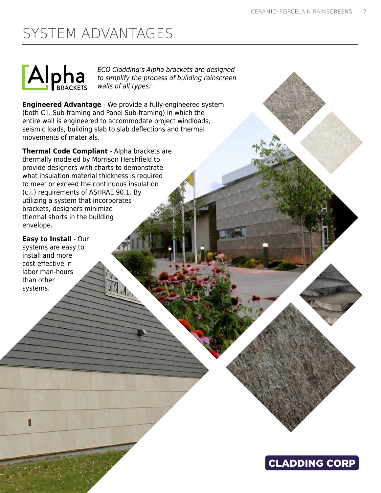# SYSTEM ADVANTAGES



*ECO Cladding's Alpha brackets are designed to simplify the process of building rainscreen walls of all types.* 

**Engineered Advantage** - We provide a fully-engineered system (both C.I. Sub-framing and Panel Sub-framing) in which the entire wall is engineered to accommodate project windloads, seismic loads, building slab to slab deflections and thermal movements of materials.

**Thermal Code Compliant** - Alpha brackets are thermally modeled by Morrison Hershfield to provide designers with charts to demonstrate what insulation material thickness is required to meet or exceed the continuous insulation (c.i.) requirements of ASHRAE 90.1. By utilizing a system that incorporates brackets, designers minimize thermal shorts in the building envelope.

**Easy to Install** - Our systems are easy to install and more cost-effective in labor man-hours than other systems.

Π